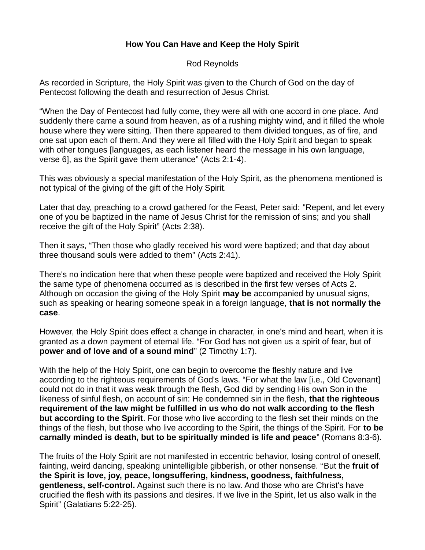# **How You Can Have and Keep the Holy Spirit**

#### Rod Reynolds

As recorded in Scripture, the Holy Spirit was given to the Church of God on the day of Pentecost following the death and resurrection of Jesus Christ.

"When the Day of Pentecost had fully come, they were all with one accord in one place. And suddenly there came a sound from heaven, as of a rushing mighty wind, and it filled the whole house where they were sitting. Then there appeared to them divided tongues, as of fire, and one sat upon each of them. And they were all filled with the Holy Spirit and began to speak with other tongues [languages, as each listener heard the message in his own language, verse 6], as the Spirit gave them utterance" (Acts 2:1-4).

This was obviously a special manifestation of the Holy Spirit, as the phenomena mentioned is not typical of the giving of the gift of the Holy Spirit.

Later that day, preaching to a crowd gathered for the Feast, Peter said: "Repent, and let every one of you be baptized in the name of Jesus Christ for the remission of sins; and you shall receive the gift of the Holy Spirit" (Acts 2:38).

Then it says, "Then those who gladly received his word were baptized; and that day about three thousand souls were added to them" (Acts 2:41).

There's no indication here that when these people were baptized and received the Holy Spirit the same type of phenomena occurred as is described in the first few verses of Acts 2. Although on occasion the giving of the Holy Spirit **may be** accompanied by unusual signs, such as speaking or hearing someone speak in a foreign language, **that is not normally the case**.

However, the Holy Spirit does effect a change in character, in one's mind and heart, when it is granted as a down payment of eternal life. "For God has not given us a spirit of fear, but of **power and of love and of a sound mind**" (2 Timothy 1:7).

With the help of the Holy Spirit, one can begin to overcome the fleshly nature and live according to the righteous requirements of God's laws. "For what the law [i.e., Old Covenant] could not do in that it was weak through the flesh, God did by sending His own Son in the likeness of sinful flesh, on account of sin: He condemned sin in the flesh, **that the righteous requirement of the law might be fulfilled in us who do not walk according to the flesh but according to the Spirit**. For those who live according to the flesh set their minds on the things of the flesh, but those who live according to the Spirit, the things of the Spirit. For **to be carnally minded is death, but to be spiritually minded is life and peace**" (Romans 8:3-6).

The fruits of the Holy Spirit are not manifested in eccentric behavior, losing control of oneself, fainting, weird dancing, speaking unintelligible gibberish, or other nonsense. "But the **fruit of the Spirit is love, joy, peace, longsuffering, kindness, goodness, faithfulness, gentleness, self-control.** Against such there is no law. And those who are Christ's have crucified the flesh with its passions and desires. If we live in the Spirit, let us also walk in the Spirit" (Galatians 5:22-25).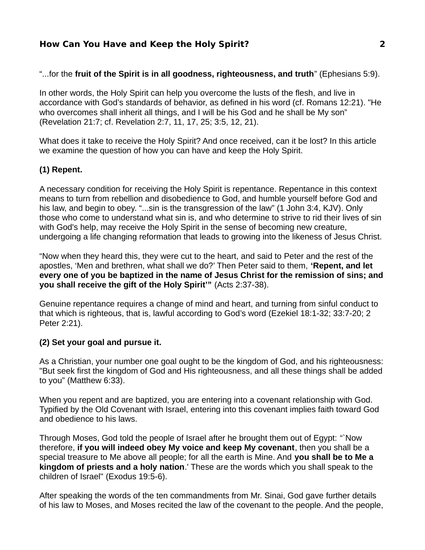## "...for the **fruit of the Spirit is in all goodness, righteousness, and truth**" (Ephesians 5:9).

In other words, the Holy Spirit can help you overcome the lusts of the flesh, and live in accordance with God's standards of behavior, as defined in his word (cf. Romans 12:21). "He who overcomes shall inherit all things, and I will be his God and he shall be My son" (Revelation 21:7; cf. Revelation 2:7, 11, 17, 25; 3:5, 12, 21).

What does it take to receive the Holy Spirit? And once received, can it be lost? In this article we examine the question of how you can have and keep the Holy Spirit.

## **(1) Repent.**

A necessary condition for receiving the Holy Spirit is repentance. Repentance in this context means to turn from rebellion and disobedience to God, and humble yourself before God and his law, and begin to obey. "...sin is the transgression of the law" (1 John 3:4, KJV). Only those who come to understand what sin is, and who determine to strive to rid their lives of sin with God's help, may receive the Holy Spirit in the sense of becoming new creature, undergoing a life changing reformation that leads to growing into the likeness of Jesus Christ.

"Now when they heard this, they were cut to the heart, and said to Peter and the rest of the apostles, 'Men and brethren, what shall we do?' Then Peter said to them, **'Repent, and let every one of you be baptized in the name of Jesus Christ for the remission of sins; and you shall receive the gift of the Holy Spirit'"** (Acts 2:37-38).

Genuine repentance requires a change of mind and heart, and turning from sinful conduct to that which is righteous, that is, lawful according to God's word (Ezekiel 18:1-32; 33:7-20; 2 Peter 2:21).

### **(2) Set your goal and pursue it.**

As a Christian, your number one goal ought to be the kingdom of God, and his righteousness: "But seek first the kingdom of God and His righteousness, and all these things shall be added to you" (Matthew 6:33).

When you repent and are baptized, you are entering into a covenant relationship with God. Typified by the Old Covenant with Israel, entering into this covenant implies faith toward God and obedience to his laws.

Through Moses, God told the people of Israel after he brought them out of Egypt: "`Now therefore, **if you will indeed obey My voice and keep My covenant**, then you shall be a special treasure to Me above all people; for all the earth is Mine. And **you shall be to Me a kingdom of priests and a holy nation**.' These are the words which you shall speak to the children of Israel" (Exodus 19:5-6).

After speaking the words of the ten commandments from Mr. Sinai, God gave further details of his law to Moses, and Moses recited the law of the covenant to the people. And the people,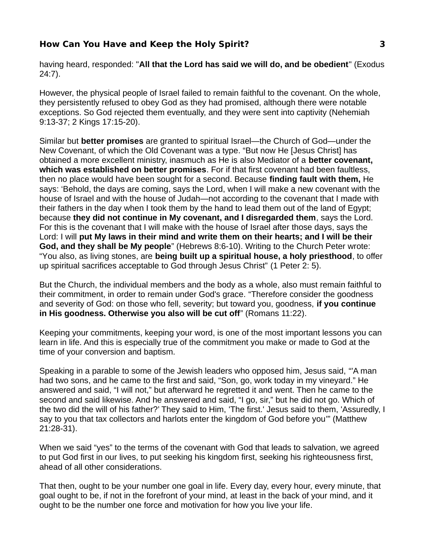having heard, responded: "**All that the Lord has said we will do, and be obedient**" (Exodus 24:7).

However, the physical people of Israel failed to remain faithful to the covenant. On the whole, they persistently refused to obey God as they had promised, although there were notable exceptions. So God rejected them eventually, and they were sent into captivity (Nehemiah 9:13-37; 2 Kings 17:15-20).

Similar but **better promises** are granted to spiritual Israel—the Church of God—under the New Covenant, of which the Old Covenant was a type. "But now He [Jesus Christ] has obtained a more excellent ministry, inasmuch as He is also Mediator of a **better covenant, which was established on better promises**. For if that first covenant had been faultless, then no place would have been sought for a second. Because **finding fault with them,** He says: 'Behold, the days are coming, says the Lord, when I will make a new covenant with the house of Israel and with the house of Judah—not according to the covenant that I made with their fathers in the day when I took them by the hand to lead them out of the land of Egypt; because **they did not continue in My covenant, and I disregarded them**, says the Lord. For this is the covenant that I will make with the house of Israel after those days, says the Lord: I will **put My laws in their mind and write them on their hearts; and I will be their God, and they shall be My people**" (Hebrews 8:6-10). Writing to the Church Peter wrote: "You also, as living stones, are **being built up a spiritual house, a holy priesthood**, to offer up spiritual sacrifices acceptable to God through Jesus Christ" (1 Peter 2: 5).

But the Church, the individual members and the body as a whole, also must remain faithful to their commitment, in order to remain under God's grace. "Therefore consider the goodness and severity of God: on those who fell, severity; but toward you, goodness, **if you continue in His goodness. Otherwise you also will be cut off**" (Romans 11:22).

Keeping your commitments, keeping your word, is one of the most important lessons you can learn in life. And this is especially true of the commitment you make or made to God at the time of your conversion and baptism.

Speaking in a parable to some of the Jewish leaders who opposed him, Jesus said, "'A man had two sons, and he came to the first and said, "Son, go, work today in my vineyard." He answered and said, "I will not," but afterward he regretted it and went. Then he came to the second and said likewise. And he answered and said, "I go, sir," but he did not go. Which of the two did the will of his father?' They said to Him, 'The first.' Jesus said to them, 'Assuredly, I say to you that tax collectors and harlots enter the kingdom of God before you'" (Matthew 21:28-31).

When we said "yes" to the terms of the covenant with God that leads to salvation, we agreed to put God first in our lives, to put seeking his kingdom first, seeking his righteousness first, ahead of all other considerations.

That then, ought to be your number one goal in life. Every day, every hour, every minute, that goal ought to be, if not in the forefront of your mind, at least in the back of your mind, and it ought to be the number one force and motivation for how you live your life.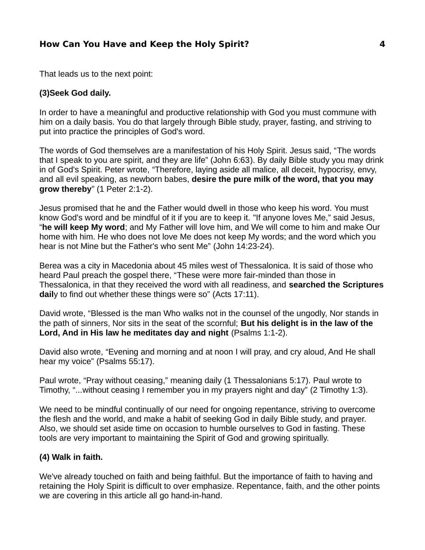That leads us to the next point:

#### **(3)Seek God daily.**

In order to have a meaningful and productive relationship with God you must commune with him on a daily basis. You do that largely through Bible study, prayer, fasting, and striving to put into practice the principles of God's word.

The words of God themselves are a manifestation of his Holy Spirit. Jesus said, "The words that I speak to you are spirit, and they are life" (John 6:63). By daily Bible study you may drink in of God's Spirit. Peter wrote, "Therefore, laying aside all malice, all deceit, hypocrisy, envy, and all evil speaking, as newborn babes, **desire the pure milk of the word, that you may grow thereby**" (1 Peter 2:1-2).

Jesus promised that he and the Father would dwell in those who keep his word. You must know God's word and be mindful of it if you are to keep it. "If anyone loves Me," said Jesus, "**he will keep My word**; and My Father will love him, and We will come to him and make Our home with him. He who does not love Me does not keep My words; and the word which you hear is not Mine but the Father's who sent Me" (John 14:23-24).

Berea was a city in Macedonia about 45 miles west of Thessalonica. It is said of those who heard Paul preach the gospel there, "These were more fair-minded than those in Thessalonica, in that they received the word with all readiness, and **searched the Scriptures dail**y to find out whether these things were so" (Acts 17:11).

David wrote, "Blessed is the man Who walks not in the counsel of the ungodly, Nor stands in the path of sinners, Nor sits in the seat of the scornful; **But his delight is in the law of the Lord, And in His law he meditates day and night** (Psalms 1:1-2).

David also wrote, "Evening and morning and at noon I will pray, and cry aloud, And He shall hear my voice" (Psalms 55:17).

Paul wrote, "Pray without ceasing," meaning daily (1 Thessalonians 5:17). Paul wrote to Timothy, "...without ceasing I remember you in my prayers night and day" (2 Timothy 1:3).

We need to be mindful continually of our need for ongoing repentance, striving to overcome the flesh and the world, and make a habit of seeking God in daily Bible study, and prayer. Also, we should set aside time on occasion to humble ourselves to God in fasting. These tools are very important to maintaining the Spirit of God and growing spiritually.

#### **(4) Walk in faith.**

We've already touched on faith and being faithful. But the importance of faith to having and retaining the Holy Spirit is difficult to over emphasize. Repentance, faith, and the other points we are covering in this article all go hand-in-hand.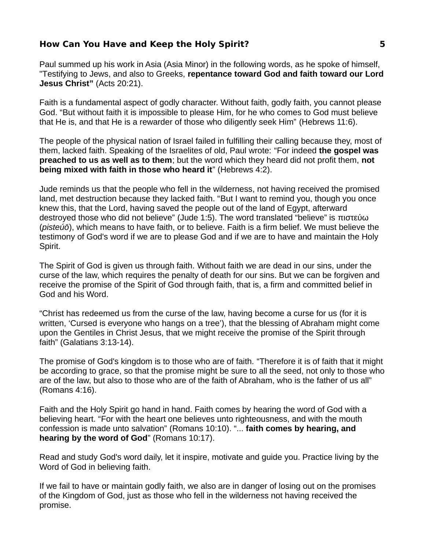Paul summed up his work in Asia (Asia Minor) in the following words, as he spoke of himself, "Testifying to Jews, and also to Greeks, **repentance toward God and faith toward our Lord Jesus Christ"** (Acts 20:21).

Faith is a fundamental aspect of godly character. Without faith, godly faith, you cannot please God. "But without faith it is impossible to please Him, for he who comes to God must believe that He is, and that He is a rewarder of those who diligently seek Him" (Hebrews 11:6).

The people of the physical nation of Israel failed in fulfilling their calling because they, most of them, lacked faith. Speaking of the Israelites of old, Paul wrote: "For indeed **the gospel was preached to us as well as to them**; but the word which they heard did not profit them, **not being mixed with faith in those who heard it**" (Hebrews 4:2).

Jude reminds us that the people who fell in the wilderness, not having received the promised land, met destruction because they lacked faith. "But I want to remind you, though you once knew this, that the Lord, having saved the people out of the land of Egypt, afterward destroyed those who did not believe" (Jude 1:5). The word translated "believe" is πιστεύω (*pisteúō*), which means to have faith, or to believe. Faith is a firm belief. We must believe the testimony of God's word if we are to please God and if we are to have and maintain the Holy Spirit.

The Spirit of God is given us through faith. Without faith we are dead in our sins, under the curse of the law, which requires the penalty of death for our sins. But we can be forgiven and receive the promise of the Spirit of God through faith, that is, a firm and committed belief in God and his Word.

"Christ has redeemed us from the curse of the law, having become a curse for us (for it is written, 'Cursed is everyone who hangs on a tree'), that the blessing of Abraham might come upon the Gentiles in Christ Jesus, that we might receive the promise of the Spirit through faith" (Galatians 3:13-14).

The promise of God's kingdom is to those who are of faith. "Therefore it is of faith that it might be according to grace, so that the promise might be sure to all the seed, not only to those who are of the law, but also to those who are of the faith of Abraham, who is the father of us all" (Romans 4:16).

Faith and the Holy Spirit go hand in hand. Faith comes by hearing the word of God with a believing heart. "For with the heart one believes unto righteousness, and with the mouth confession is made unto salvation" (Romans 10:10). "... **faith comes by hearing, and hearing by the word of God**" (Romans 10:17).

Read and study God's word daily, let it inspire, motivate and guide you. Practice living by the Word of God in believing faith.

If we fail to have or maintain godly faith, we also are in danger of losing out on the promises of the Kingdom of God, just as those who fell in the wilderness not having received the promise.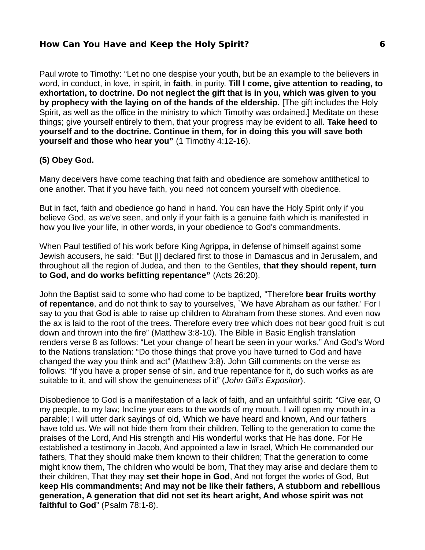Paul wrote to Timothy: "Let no one despise your youth, but be an example to the believers in word, in conduct, in love, in spirit, in **faith**, in purity. **Till I come, give attention to reading, to exhortation, to doctrine. Do not neglect the gift that is in you, which was given to you by prophecy with the laying on of the hands of the eldership.** [The gift includes the Holy Spirit, as well as the office in the ministry to which Timothy was ordained.] Meditate on these things; give yourself entirely to them, that your progress may be evident to all. **Take heed to yourself and to the doctrine. Continue in them, for in doing this you will save both yourself and those who hear you"** (1 Timothy 4:12-16).

## **(5) Obey God.**

Many deceivers have come teaching that faith and obedience are somehow antithetical to one another. That if you have faith, you need not concern yourself with obedience.

But in fact, faith and obedience go hand in hand. You can have the Holy Spirit only if you believe God, as we've seen, and only if your faith is a genuine faith which is manifested in how you live your life, in other words, in your obedience to God's commandments.

When Paul testified of his work before King Agrippa, in defense of himself against some Jewish accusers, he said: "But [I] declared first to those in Damascus and in Jerusalem, and throughout all the region of Judea, and then to the Gentiles, **that they should repent, turn to God, and do works befitting repentance"** (Acts 26:20).

John the Baptist said to some who had come to be baptized, "Therefore **bear fruits worthy of repentance**, and do not think to say to yourselves, `We have Abraham as our father.' For I say to you that God is able to raise up children to Abraham from these stones. And even now the ax is laid to the root of the trees. Therefore every tree which does not bear good fruit is cut down and thrown into the fire" (Matthew 3:8-10). The Bible in Basic English translation renders verse 8 as follows: "Let your change of heart be seen in your works." And God's Word to the Nations translation: "Do those things that prove you have turned to God and have changed the way you think and act" (Matthew 3:8). John Gill comments on the verse as follows: "If you have a proper sense of sin, and true repentance for it, do such works as are suitable to it, and will show the genuineness of it" (*John Gill's Expositor*).

Disobedience to God is a manifestation of a lack of faith, and an unfaithful spirit: "Give ear, O my people, to my law; Incline your ears to the words of my mouth. I will open my mouth in a parable; I will utter dark sayings of old, Which we have heard and known, And our fathers have told us. We will not hide them from their children, Telling to the generation to come the praises of the Lord, And His strength and His wonderful works that He has done. For He established a testimony in Jacob, And appointed a law in Israel, Which He commanded our fathers, That they should make them known to their children; That the generation to come might know them, The children who would be born, That they may arise and declare them to their children, That they may **set their hope in God**, And not forget the works of God, But **keep His commandments; And may not be like their fathers, A stubborn and rebellious generation, A generation that did not set its heart aright, And whose spirit was not faithful to God**" (Psalm 78:1-8).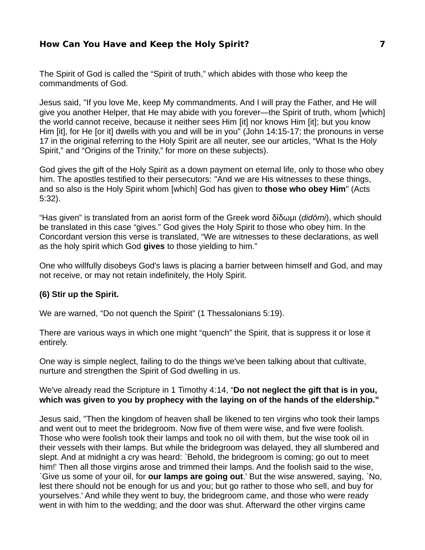The Spirit of God is called the "Spirit of truth," which abides with those who keep the commandments of God.

Jesus said, "If you love Me, keep My commandments. And I will pray the Father, and He will give you another Helper, that He may abide with you forever—the Spirit of truth, whom [which] the world cannot receive, because it neither sees Him [it] nor knows Him [it]; but you know Him [it], for He [or it] dwells with you and will be in you" (John 14:15-17; the pronouns in verse 17 in the original referring to the Holy Spirit are all neuter, see our articles, "What Is the Holy Spirit," and "Origins of the Trinity," for more on these subjects).

God gives the gift of the Holy Spirit as a down payment on eternal life, only to those who obey him. The apostles testified to their persecutors: "And we are His witnesses to these things, and so also is the Holy Spirit whom [which] God has given to **those who obey Him**" (Acts 5:32).

"Has given" is translated from an aorist form of the Greek word δίδωμι (*didōmi*), which should be translated in this case "gives." God gives the Holy Spirit to those who obey him. In the Concordant version this verse is translated, "We are witnesses to these declarations, as well as the holy spirit which God **gives** to those yielding to him."

One who willfully disobeys God's laws is placing a barrier between himself and God, and may not receive, or may not retain indefinitely, the Holy Spirit.

### **(6) Stir up the Spirit.**

We are warned, "Do not quench the Spirit" (1 Thessalonians 5:19).

There are various ways in which one might "quench" the Spirit, that is suppress it or lose it entirely.

One way is simple neglect, failing to do the things we've been talking about that cultivate, nurture and strengthen the Spirit of God dwelling in us.

#### We've already read the Scripture in 1 Timothy 4:14, "**Do not neglect the gift that is in you, which was given to you by prophecy with the laying on of the hands of the eldership."**

Jesus said, "Then the kingdom of heaven shall be likened to ten virgins who took their lamps and went out to meet the bridegroom. Now five of them were wise, and five were foolish. Those who were foolish took their lamps and took no oil with them, but the wise took oil in their vessels with their lamps. But while the bridegroom was delayed, they all slumbered and slept. And at midnight a cry was heard: `Behold, the bridegroom is coming; go out to meet him!' Then all those virgins arose and trimmed their lamps. And the foolish said to the wise, `Give us some of your oil, for **our lamps are going out**.' But the wise answered, saying, `No, lest there should not be enough for us and you; but go rather to those who sell, and buy for yourselves.' And while they went to buy, the bridegroom came, and those who were ready went in with him to the wedding; and the door was shut. Afterward the other virgins came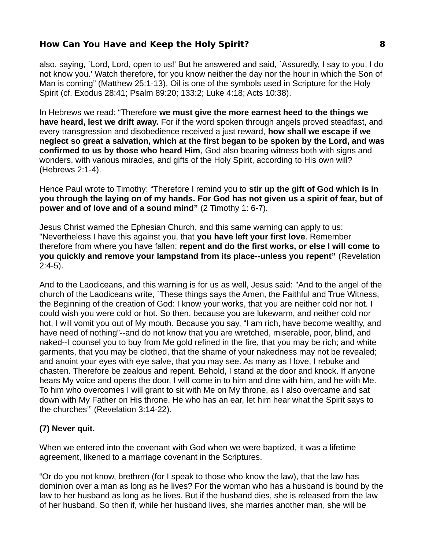also, saying, `Lord, Lord, open to us!' But he answered and said, `Assuredly, I say to you, I do not know you.' Watch therefore, for you know neither the day nor the hour in which the Son of Man is coming" (Matthew 25:1-13). Oil is one of the symbols used in Scripture for the Holy Spirit (cf. Exodus 28:41; Psalm 89:20; 133:2; Luke 4:18; Acts 10:38).

In Hebrews we read: "Therefore **we must give the more earnest heed to the things we have heard, lest we drift away.** For if the word spoken through angels proved steadfast, and every transgression and disobedience received a just reward, **how shall we escape if we neglect so great a salvation, which at the first began to be spoken by the Lord, and was confirmed to us by those who heard Him**, God also bearing witness both with signs and wonders, with various miracles, and gifts of the Holy Spirit, according to His own will? (Hebrews 2:1-4).

Hence Paul wrote to Timothy: "Therefore I remind you to **stir up the gift of God which is in you through the laying on of my hands. For God has not given us a spirit of fear, but of power and of love and of a sound mind"** (2 Timothy 1: 6-7).

Jesus Christ warned the Ephesian Church, and this same warning can apply to us: "Nevertheless I have this against you, that **you have left your first love**. Remember therefore from where you have fallen; **repent and do the first works, or else I will come to you quickly and remove your lampstand from its place--unless you repent"** (Revelation 2:4-5).

And to the Laodiceans, and this warning is for us as well, Jesus said: "And to the angel of the church of the Laodiceans write, `These things says the Amen, the Faithful and True Witness, the Beginning of the creation of God: I know your works, that you are neither cold nor hot. I could wish you were cold or hot. So then, because you are lukewarm, and neither cold nor hot, I will vomit you out of My mouth. Because you say, "I am rich, have become wealthy, and have need of nothing"--and do not know that you are wretched, miserable, poor, blind, and naked--I counsel you to buy from Me gold refined in the fire, that you may be rich; and white garments, that you may be clothed, that the shame of your nakedness may not be revealed; and anoint your eyes with eye salve, that you may see. As many as I love, I rebuke and chasten. Therefore be zealous and repent. Behold, I stand at the door and knock. If anyone hears My voice and opens the door, I will come in to him and dine with him, and he with Me. To him who overcomes I will grant to sit with Me on My throne, as I also overcame and sat down with My Father on His throne. He who has an ear, let him hear what the Spirit says to the churches'" (Revelation 3:14-22).

# **(7) Never quit.**

When we entered into the covenant with God when we were baptized, it was a lifetime agreement, likened to a marriage covenant in the Scriptures.

"Or do you not know, brethren (for I speak to those who know the law), that the law has dominion over a man as long as he lives? For the woman who has a husband is bound by the law to her husband as long as he lives. But if the husband dies, she is released from the law of her husband. So then if, while her husband lives, she marries another man, she will be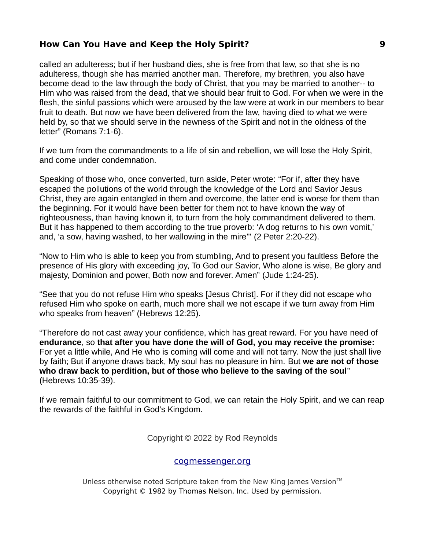called an adulteress; but if her husband dies, she is free from that law, so that she is no adulteress, though she has married another man. Therefore, my brethren, you also have become dead to the law through the body of Christ, that you may be married to another-- to Him who was raised from the dead, that we should bear fruit to God. For when we were in the flesh, the sinful passions which were aroused by the law were at work in our members to bear fruit to death. But now we have been delivered from the law, having died to what we were held by, so that we should serve in the newness of the Spirit and not in the oldness of the letter" (Romans 7:1-6).

If we turn from the commandments to a life of sin and rebellion, we will lose the Holy Spirit, and come under condemnation.

Speaking of those who, once converted, turn aside, Peter wrote: "For if, after they have escaped the pollutions of the world through the knowledge of the Lord and Savior Jesus Christ, they are again entangled in them and overcome, the latter end is worse for them than the beginning. For it would have been better for them not to have known the way of righteousness, than having known it, to turn from the holy commandment delivered to them. But it has happened to them according to the true proverb: 'A dog returns to his own vomit,' and, 'a sow, having washed, to her wallowing in the mire'" (2 Peter 2:20-22).

"Now to Him who is able to keep you from stumbling, And to present you faultless Before the presence of His glory with exceeding joy, To God our Savior, Who alone is wise, Be glory and majesty, Dominion and power, Both now and forever. Amen" (Jude 1:24-25).

"See that you do not refuse Him who speaks [Jesus Christ]. For if they did not escape who refused Him who spoke on earth, much more shall we not escape if we turn away from Him who speaks from heaven" (Hebrews 12:25).

"Therefore do not cast away your confidence, which has great reward. For you have need of **endurance**, so **that after you have done the will of God, you may receive the promise:** For yet a little while, And He who is coming will come and will not tarry. Now the just shall live by faith; But if anyone draws back, My soul has no pleasure in him. But **we are not of those who draw back to perdition, but of those who believe to the saving of the soul**" (Hebrews 10:35-39).

If we remain faithful to our commitment to God, we can retain the Holy Spirit, and we can reap the rewards of the faithful in God's Kingdom.

Copyright © 2022 by Rod Reynolds

#### [cogmessenger.org](http://cogmessenger.org/)

Unless otherwise noted Scripture taken from the New King James Version<sup>™</sup> Copyright © 1982 by Thomas Nelson, Inc. Used by permission.